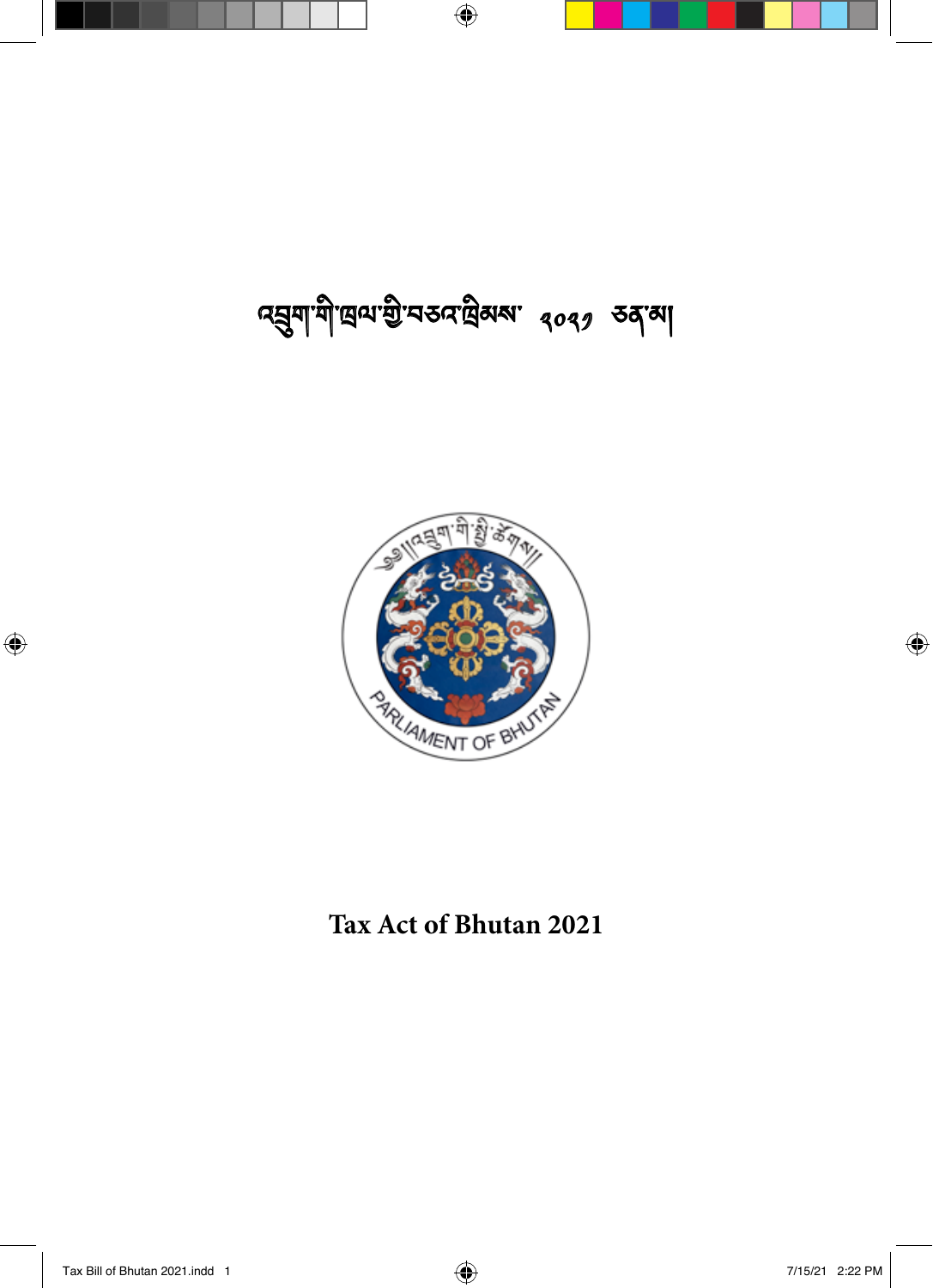# ব্র্ম্বুশাশীত্রথাগ্রী'নত্বান্ত্রীষ্মা <sub>৭০৭</sub>, তব্'মা

 $\bigoplus$ 



**Tax Act of Bhutan 2021**

 $\bigoplus$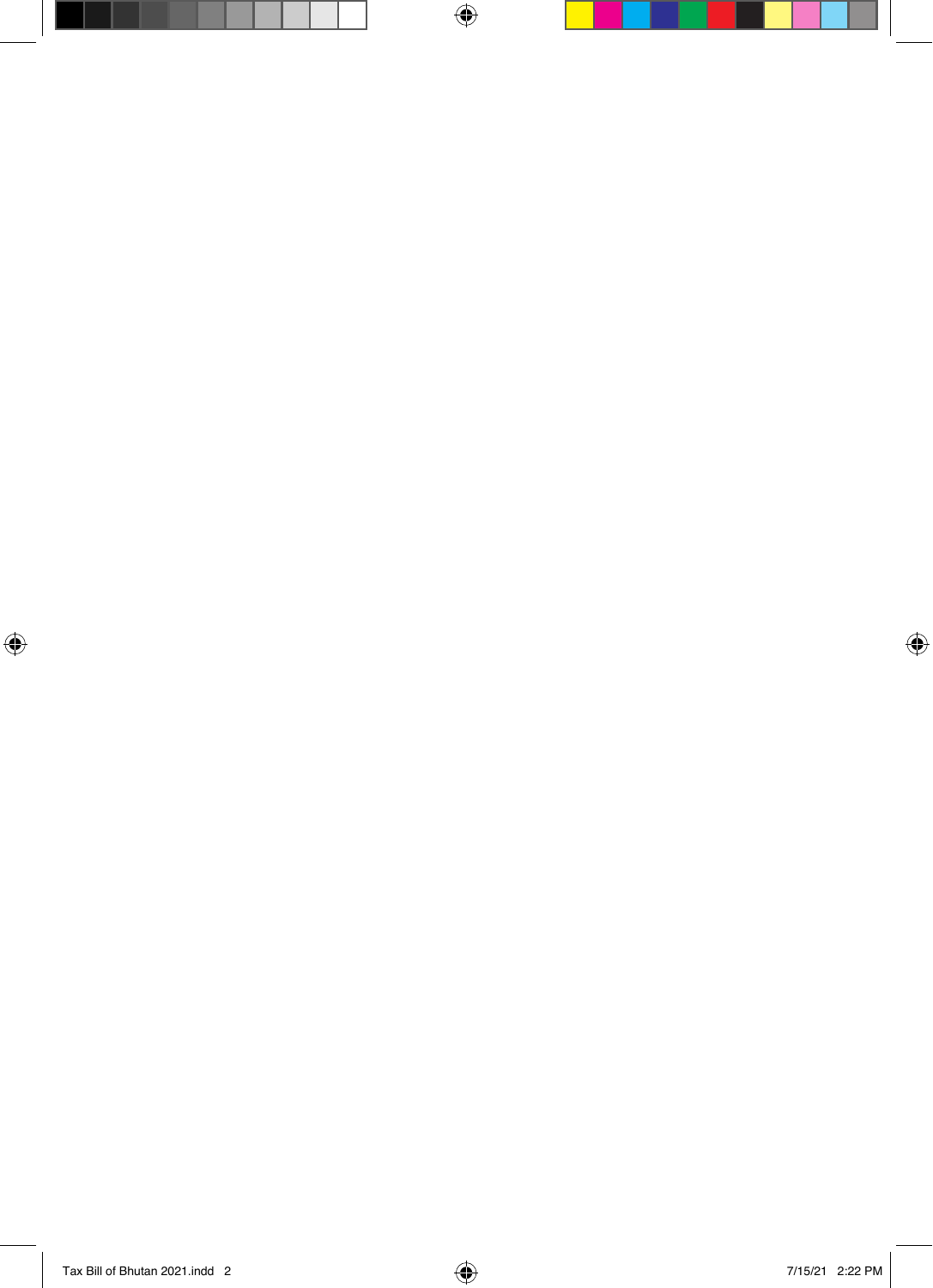

 $\bigoplus$ 

 $\Box$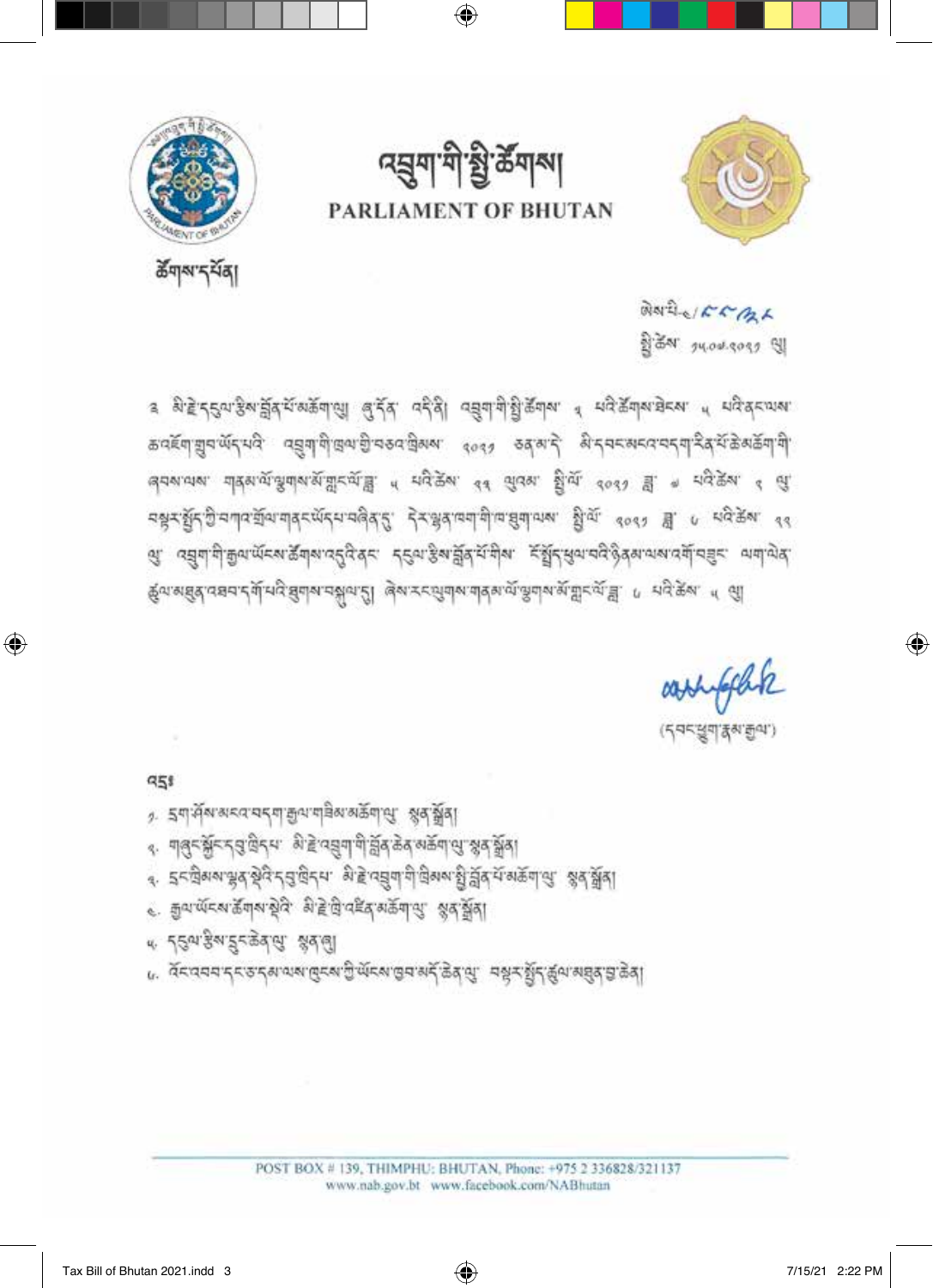$95f$ 

⊕

⊕

POST BOX # 139, THIMPHU: BHUTAN, Phone: +975 2 336828/321137 www.nab.gov.bt www.facebook.com/NABhutan

 $\bigcirc$ 

५ ५५७ हैबाइनळेवस क्ष्वलु

6. चैन लूटक पूर्वाच छोड़, भुड़ मुजहूर बाष्ट्र वो अब ब्रैंच।

४ । देर्ट्युश्लाक्षेद ब्रेद्धर्ट्यद्विर्द्यः श्रृष्ट्वार्यानुविश्लाश्चिद्धयाश्रूचन्तुः श्रेदञ्ज्ञित्।

५. गलुरुञ्जेरुरुञ्जुखेरुषः अङ्केषञ्जुगणेञ्चेदकेदरुकेगलुन्नुबङ्गद्वा

१. इयार्सेबाअध्वाचरणमुखयावीव्यञ्जर्कणासु श्रुवाञ्चेदा

৻. दॅमवमम् मण्डम् अव्यालुम्बान्नियम् अमेरिका अस्ति । मधुमर्थुम् इवाबहुमञ्जले

श्चर्व्ह्याश्चर्य्यद्रम्पदे व्युवाक्षेत्रकाञ्चे चरुवःखेशयः <sub>१०११</sub> ठद्भादे श्वे दचनशन्वन्वद्यद्भिद्भिद्भक्षेत्रवी वी खेळालाका. चीर्षकालूंजीबीकालूंडीट्यूडी. <sup>त</sup>ात्मुझूल. <sup>44</sup> जीउंका. हुन्नू, <sup>4643</sup> डी. १ ताडुङूल. ४ जी. चक्षेदश्चिम् क्षेत्राणयञ्चलानविदल्लस्य बुद्धः देदश्वदावनामानाञ्चमानामः श्चित्रः ४०४० श्चः ९ स्वत्रप्टम्नः ४४ त्री उच्चैर्यासुम्बिललूट्याङ्कर्यान्नाउट्टिषेदः रहिनाङ्ग्रन्थः सूर्यम्बिनः हर्ज्यस्थिनादर्शुष्ठेषज्ञनानारम् वज्ञेन् नार्यान्तर् हैजश्रह्मपञ्चन में मन्दि हुनय चक्षय हु। बेय उत्त्युनय नक्षये पुनय ये ह्वादये हु ॥ यने डेयः ॥ या

व अङ्केदस्याद्वैषार्ज्ञदार्याखर्कणाशु बुद्देदा वर्ददी वचुणाणेश्विद्वैणवा व मवेद्वैणवाज्ञेदवा व मविद्वारायवा

ANDOFFRAL A BAY SULON CORS OF

(5,वर्द्धयाद्धबाक्षुत्था)



ন্দ্ৰুশ শীস্ট্ৰ ক্টঁশশ PARLIAMENT OF BHUTAN



 $\bigoplus$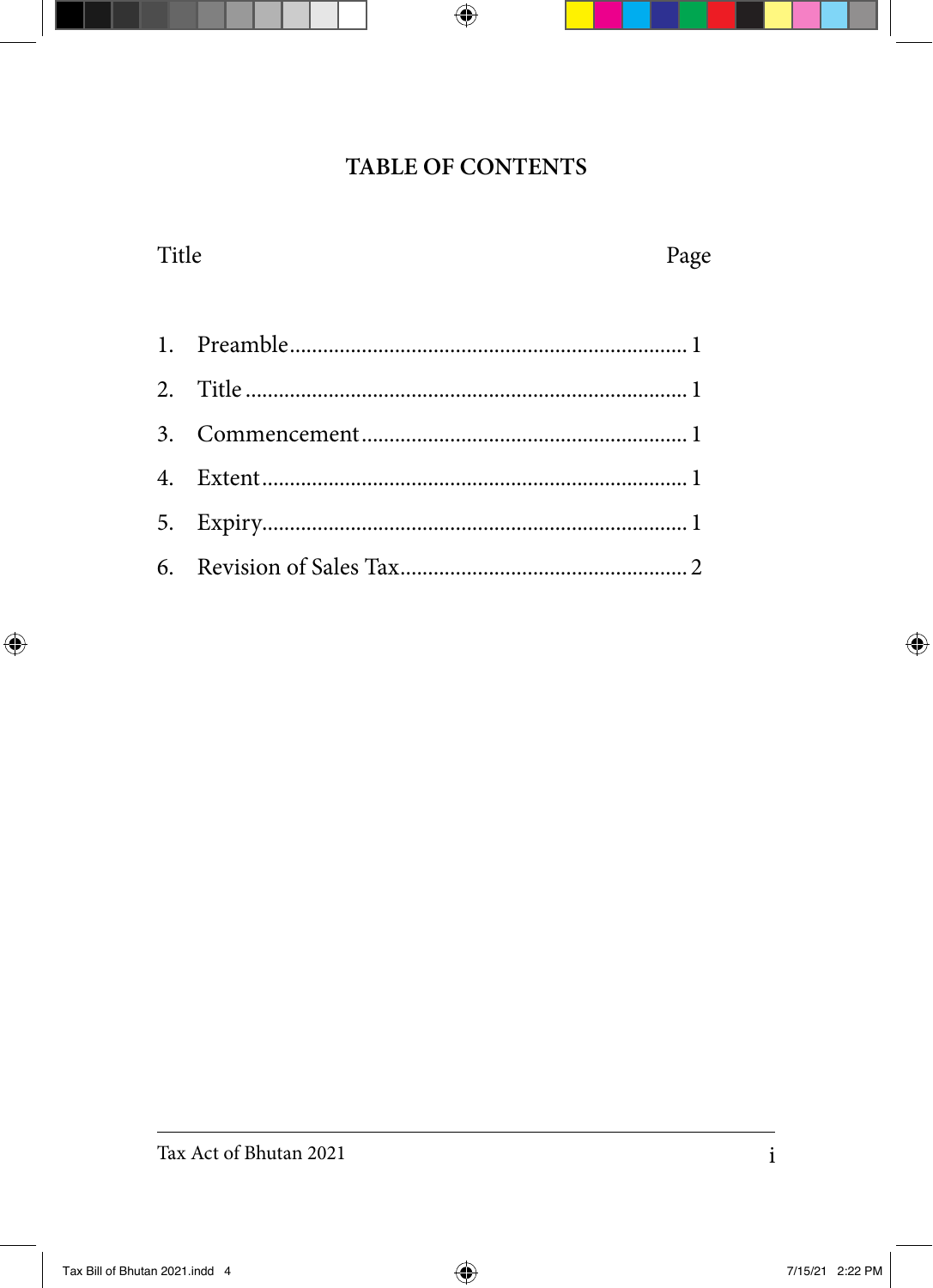### TABLE OF CONTENTS

Page

 $\bigoplus$ 

## Title

Tax Act of Bhutan 2021

 $\bigoplus$ 

 $\bigoplus$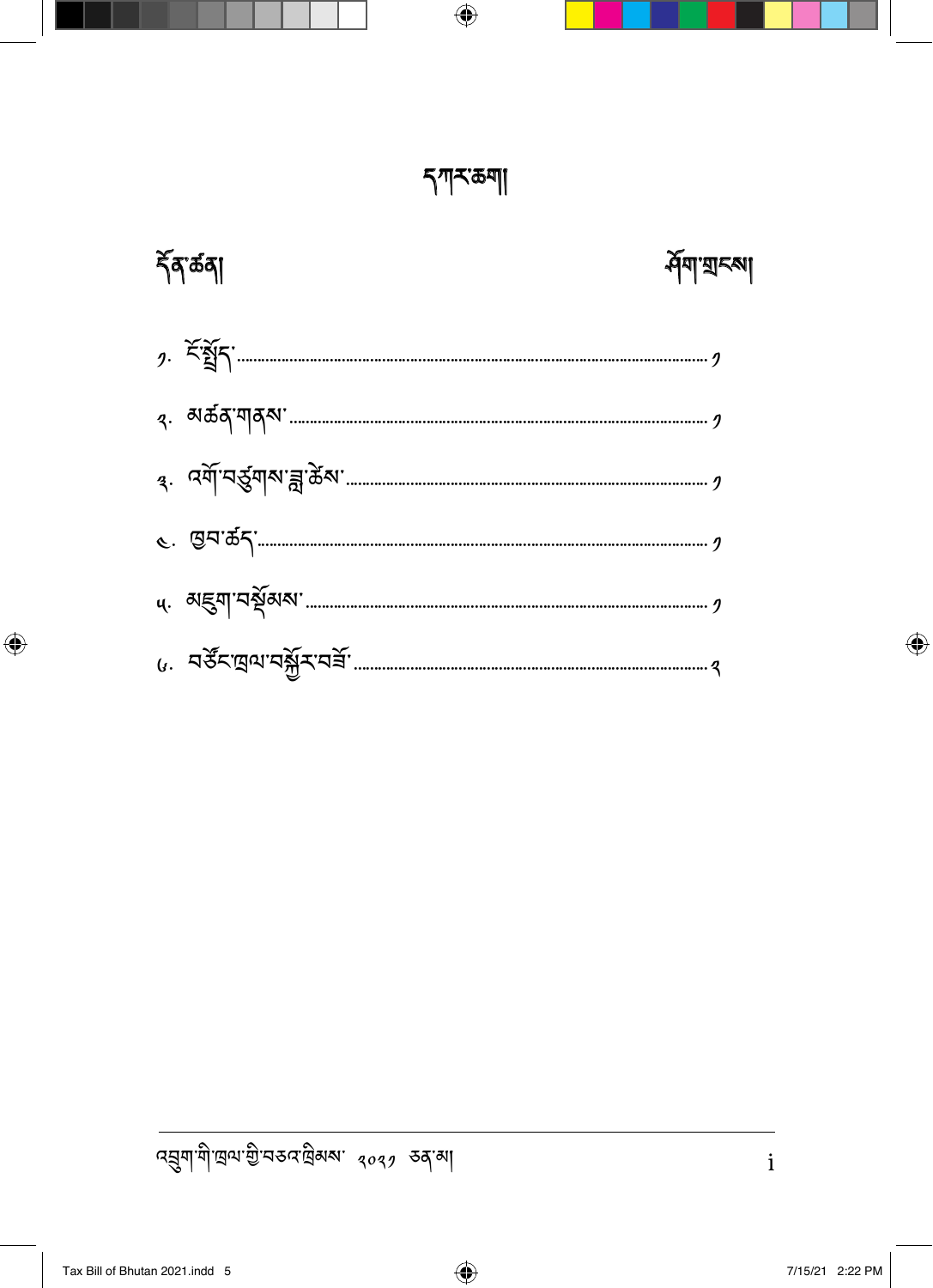i

 $\bigoplus$ 

*વ*ક્ષુ્વા'শী'ড্ৰথ'শ্ৰী'নত্বৰ'ট্ৰিমম' *২০৭१* তৰ্'মা

 $\frac{1}{2}$ จัส $\frac{1}{2}$ 

⊕

শ্ৰমাত্মবৰ্ষ

ጘশুসক্ষণা

 $\bigoplus$ 



⊕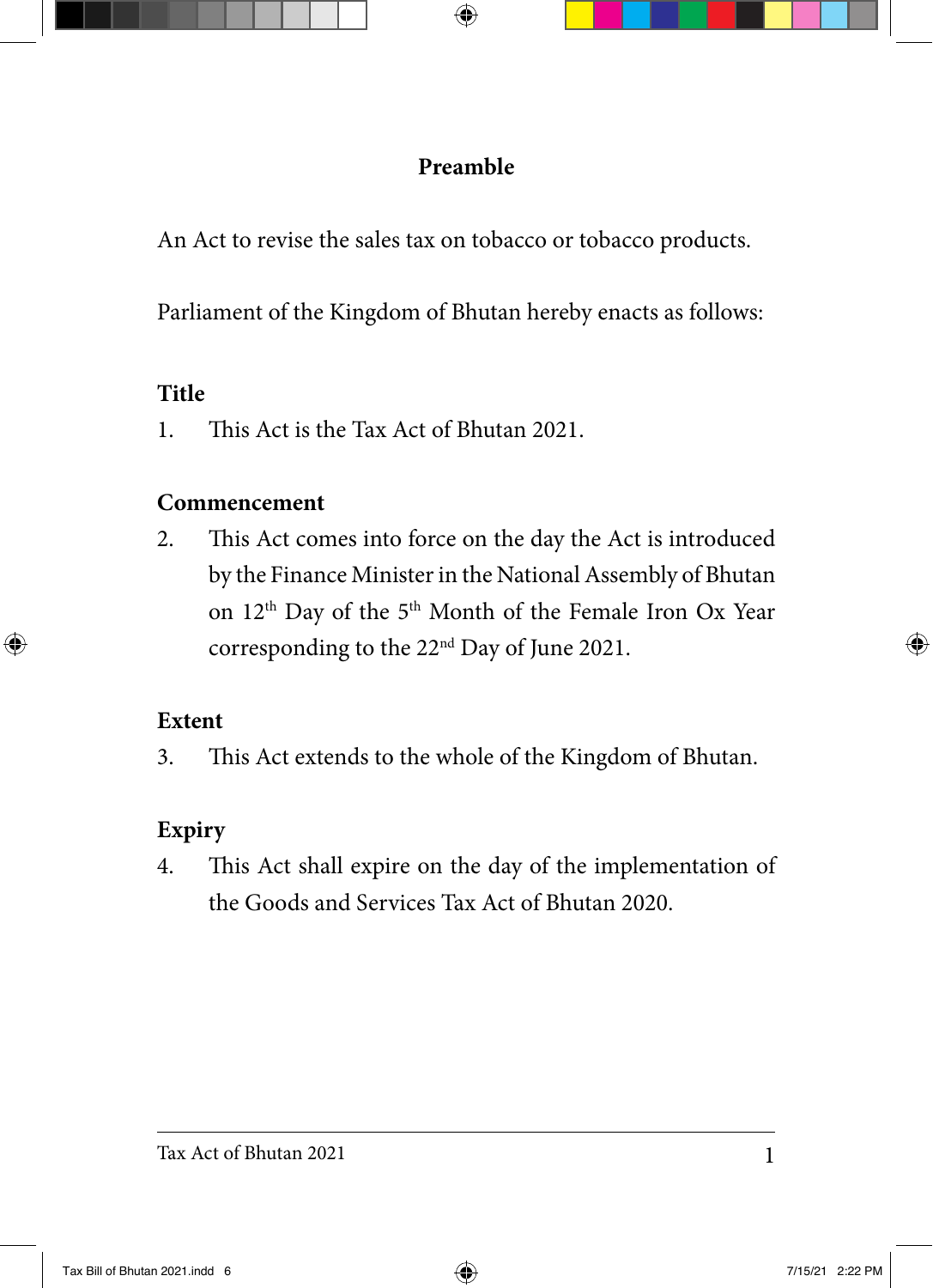#### **Preamble**

 $\bigcirc$ 

An Act to revise the sales tax on tobacco or tobacco products.

Parliament of the Kingdom of Bhutan hereby enacts as follows:

#### **Title**

1. This Act is the Tax Act of Bhutan 2021.

#### **Commencement**

2. This Act comes into force on the day the Act is introduced by the Finance Minister in the National Assembly of Bhutan on 12<sup>th</sup> Day of the 5<sup>th</sup> Month of the Female Iron Ox Year corresponding to the 22nd Day of June 2021.

#### **Extent**

↔

3. This Act extends to the whole of the Kingdom of Bhutan.

#### **Expiry**

4. This Act shall expire on the day of the implementation of the Goods and Services Tax Act of Bhutan 2020.

⊕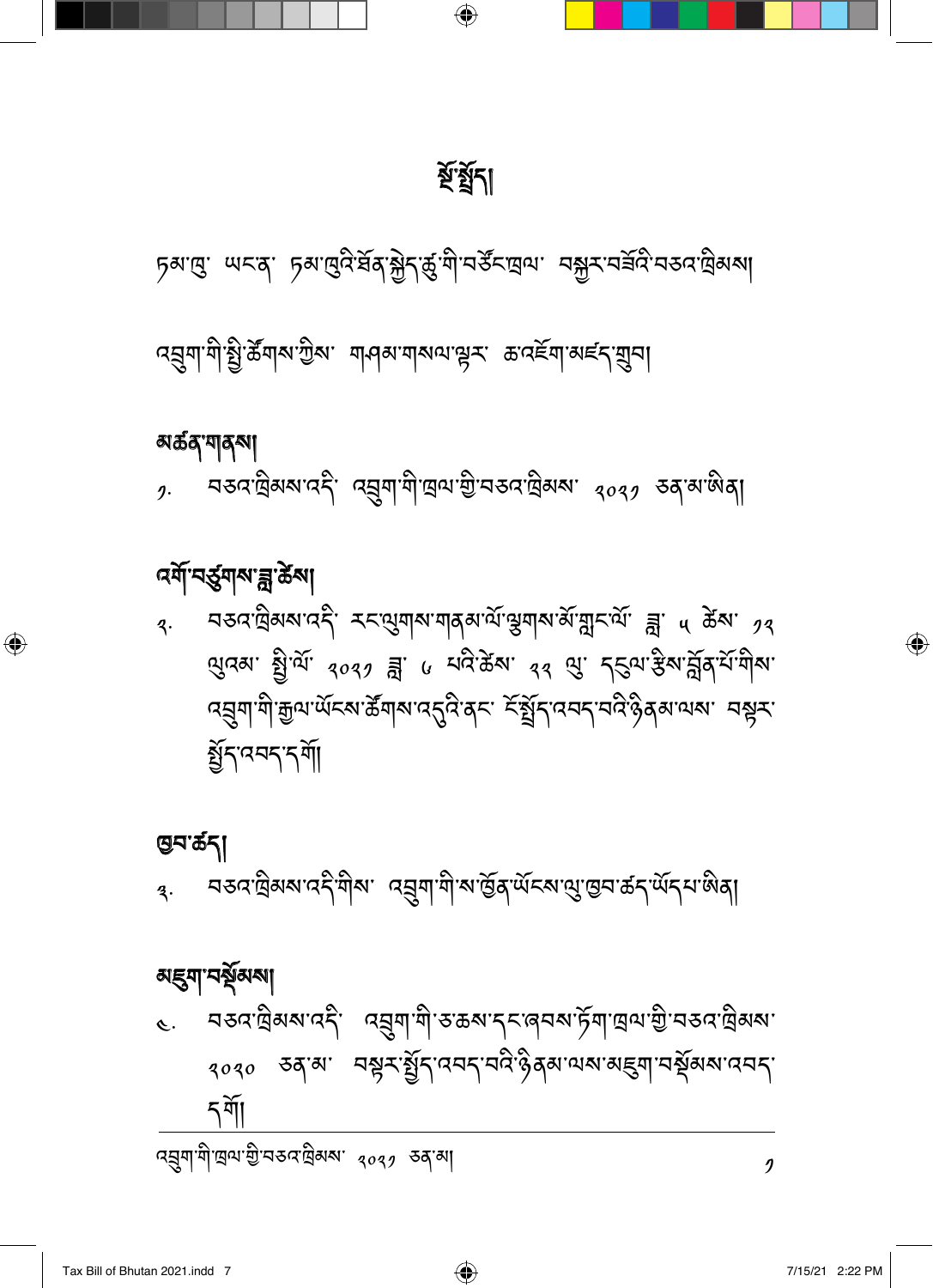$\bigoplus$ 

༡

དགོ། বব্রুশ'শী'দ্রথ'শ্রী'নঙ্গ'ন্থিম্ম' <sub>৭০৭</sub>, ঙ্ক'মা

<u>য়</u>ৼ৶৸ৼ <u>বঙ্কেল্লিমম'ৰেইত ব্ৰহ্ম</u>াশীসক্ষম'ৰ্বজ্ঞাৰম'ৰ্ট্যান্নিল' গ্ৰীসকলে দ্ৰীমমা ៹০২০ তব্'ঝ' মষ্ণু-ষ্ট্র্যুন্'ব্মন্দ্'মন্টিণ্ট্র্মাত্মম্ভেম্ব্যামর্শ্লব্মন্দ্

ཁྱབ་ཚད། <sub>ৰ</sub>. মঙ্গষ্ট্ৰিমম'বেহ্ৰীম' বব্ৰুণ|শী'ম'ৰ্ড্ৰব'ৰ্ਘঁহম'থ্ড্ৰ'ন্তুম'ৰ্ক্ৰহ্'ৰ্ਘঁহ্ম'ঞ্জিৰ্|

འགོ་བཙུགས་ཟླ་ཚེས། ༢. བཅའ་ཁྲིམས་འདི་ རང་ལུགས་གནམ་ལོ་ལྕགས་མོ་གླང་ལོ་ ཟླ་ ༥ ཚེས་ ༡༢ લુવચઃ શ્રુૈ'ર્ચે' <sub>૧૦૧૭</sub> ह्म ५ <sup>દ્ય</sup>વે`કૅંચ' <sub>૧૧</sub> લુ' ૬૬૫' કૈચ'ર્સેુવ'ર્ચે'થીચ' বহ্রুণাশীক্সুঅ'র্অর্মজ্যান্ত্র্রি'বর্মা রাষ্ট্রাম্বর্মান্ত্রি ইন্সিম্বর্মা ব্রুমা སྤྱོད་འབད་དགོ།

མཚན་གནས། ସ୍ତ୍ର୍ୟାସିଥିବା ବର୍ତ୍ତ୍ତ୍ତ୍ୱ । ଏକ୍ସିଆର୍ ଏଡି. ସ୍ରାମ୍ନ ଓଡ଼ି ଏକ୍ସିଆର୍ ଏଚ $\frac{1}{3}$ ଜ୍ୟାତ୍ତ୍ୱ ।

ব্র্ষ্ণা শীষ্ট্র স্টশব্দি শ্রীস মাধি মাধ্যমান্ত্র্য জন্নই মাধ্য বিবা

চৰাত্তে: অনন্ত্ৰ: চৰাত্ত্ৰেইেন্দ্ৰীৰ্ব্দ্ভূ:ন্মী,বৰ্কুমন্ত্ৰাৰ্ম, বৰ্শ্মীৰ্ম,বৰ্শ্নব্য,ব্ৰহ্ম,ব্ৰহ্ম,বৰ্ম

ষ্ট্রন্থী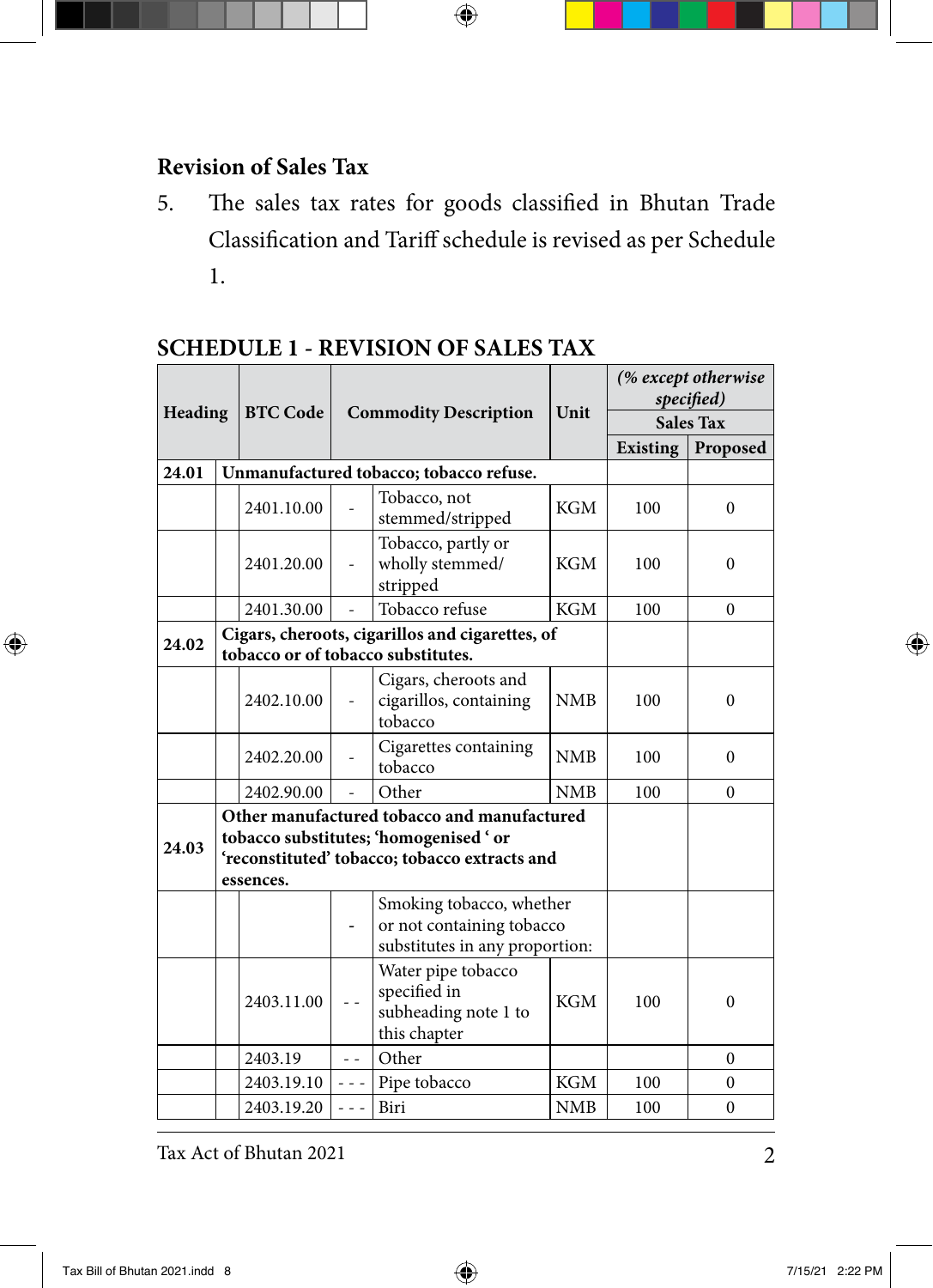#### **Revision of Sales Tax**

5. The sales tax rates for goods classified in Bhutan Trade Classification and Tariff schedule is revised as per Schedule 1.

 $\bigoplus$ 

| Heading |                                                 | <b>BTC Code</b>                               | <b>Commodity Description</b>          |                                                                                         | Unit       | (% except otherwise<br>specified) |          |
|---------|-------------------------------------------------|-----------------------------------------------|---------------------------------------|-----------------------------------------------------------------------------------------|------------|-----------------------------------|----------|
|         |                                                 |                                               |                                       |                                                                                         |            | <b>Sales Tax</b>                  |          |
|         |                                                 |                                               |                                       |                                                                                         |            | <b>Existing</b>                   | Proposed |
| 24.01   |                                                 | Unmanufactured tobacco; tobacco refuse.       |                                       |                                                                                         |            |                                   |          |
|         |                                                 | 2401.10.00                                    |                                       | Tobacco, not<br>stemmed/stripped                                                        | <b>KGM</b> | 100                               | $\Omega$ |
|         |                                                 | 2401.20.00                                    |                                       | Tobacco, partly or<br>wholly stemmed/<br>stripped                                       | <b>KGM</b> | 100                               | 0        |
|         |                                                 | 2401.30.00                                    |                                       | Tobacco refuse                                                                          | <b>KGM</b> | 100                               | $\Omega$ |
|         | Cigars, cheroots, cigarillos and cigarettes, of |                                               |                                       |                                                                                         |            |                                   |          |
| 24.02   |                                                 | tobacco or of tobacco substitutes.            |                                       |                                                                                         |            |                                   |          |
|         |                                                 | 2402.10.00                                    |                                       | Cigars, cheroots and<br>cigarillos, containing<br>tobacco                               | <b>NMB</b> | 100                               | $\Omega$ |
|         |                                                 | 2402.20.00                                    |                                       | Cigarettes containing<br>tobacco                                                        | <b>NMB</b> | 100                               | $\Omega$ |
|         |                                                 | 2402.90.00                                    |                                       | Other                                                                                   | <b>NMB</b> | 100                               | $\Omega$ |
|         |                                                 | Other manufactured tobacco and manufactured   |                                       |                                                                                         |            |                                   |          |
| 24.03   |                                                 | tobacco substitutes; 'homogenised ' or        |                                       |                                                                                         |            |                                   |          |
|         |                                                 | 'reconstituted' tobacco; tobacco extracts and |                                       |                                                                                         |            |                                   |          |
|         | essences.                                       |                                               |                                       |                                                                                         |            |                                   |          |
|         |                                                 |                                               |                                       | Smoking tobacco, whether<br>or not containing tobacco<br>substitutes in any proportion: |            |                                   |          |
|         |                                                 | 2403.11.00                                    | $\overline{a}$                        | Water pipe tobacco<br>specified in<br>subheading note 1 to<br>this chapter              | <b>KGM</b> | 100                               | $\Omega$ |
|         |                                                 | 2403.19                                       | $\overline{a}$                        | Other                                                                                   |            |                                   | $\Omega$ |
|         |                                                 | 2403.19.10                                    | $\omega_{\rm c}$ and $\omega_{\rm c}$ | Pipe tobacco                                                                            | <b>KGM</b> | 100                               | $\theta$ |
|         |                                                 | 2403.19.20                                    | $  -$                                 | Biri                                                                                    | <b>NMB</b> | 100                               | $\theta$ |

#### **SCHEDULE 1 - REVISION OF SALES TAX**

Tax Act of Bhutan 2021

2

 $\bigoplus$ 

⊕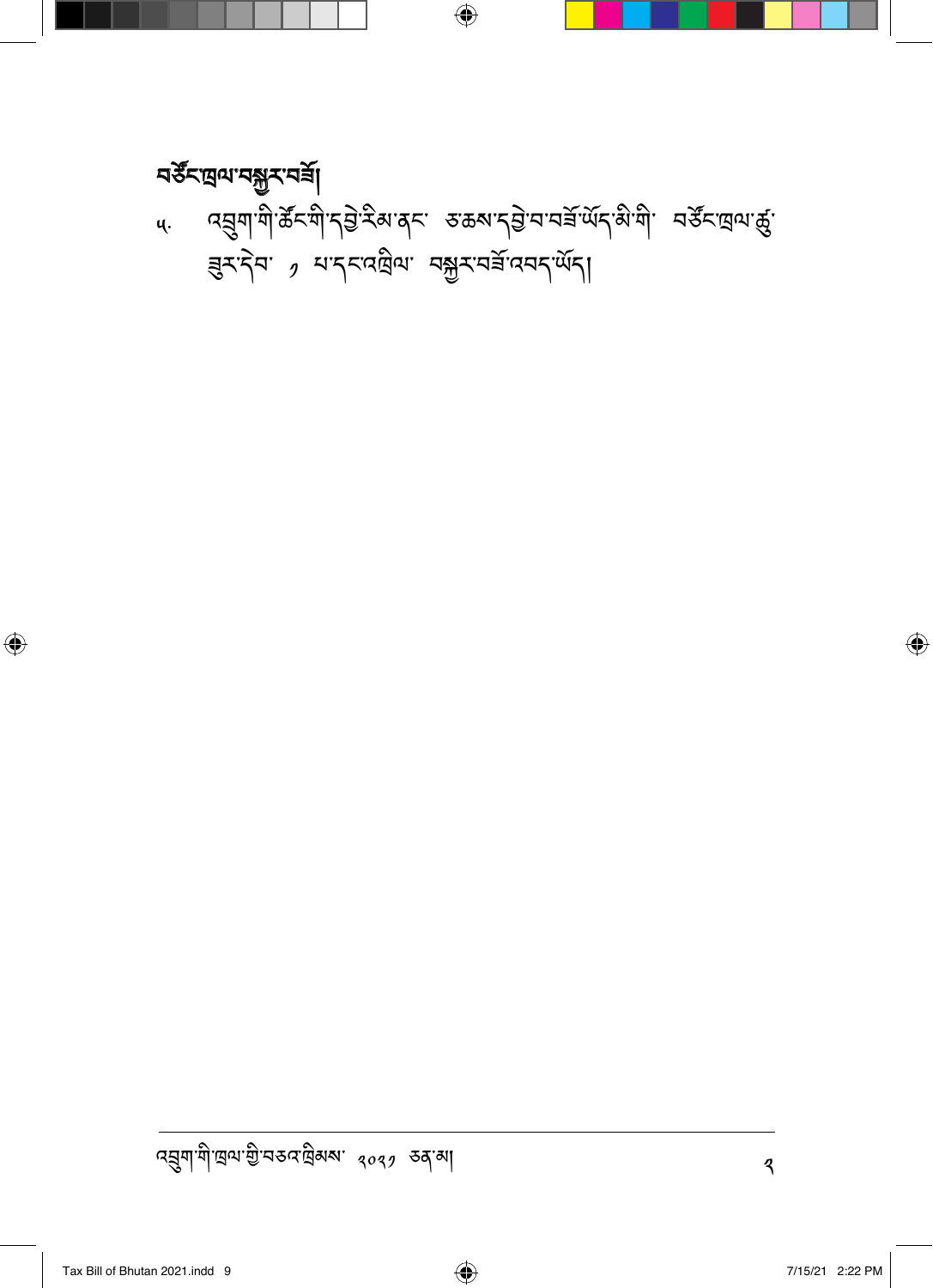Tax Bill of Bhutan 2021.indd 9 7/15/21 2:22 PM

 $\bigoplus$ 

༢

ব্র্ষ্ণাশীত্মঝা গ্রীস্কর ড্রিম্মা বিওয় ক্রন্থা

<u>বর্</u>ণুখের্ম্মী ༥. འབྲུག་གི་ཚོང་གི་དབྱེ་རིམ་ནང་ ཅ་ཆས་དབྱེ་བ་བཟོ་ཡོད་མི་གི་ བཙོང་ཁྲལ་ཚུ་ ཟུར་དེབ་ ༡ པ་དང་འཁྲིལ་ བསྐྱར་བཟོ་འབད་ཡོད།